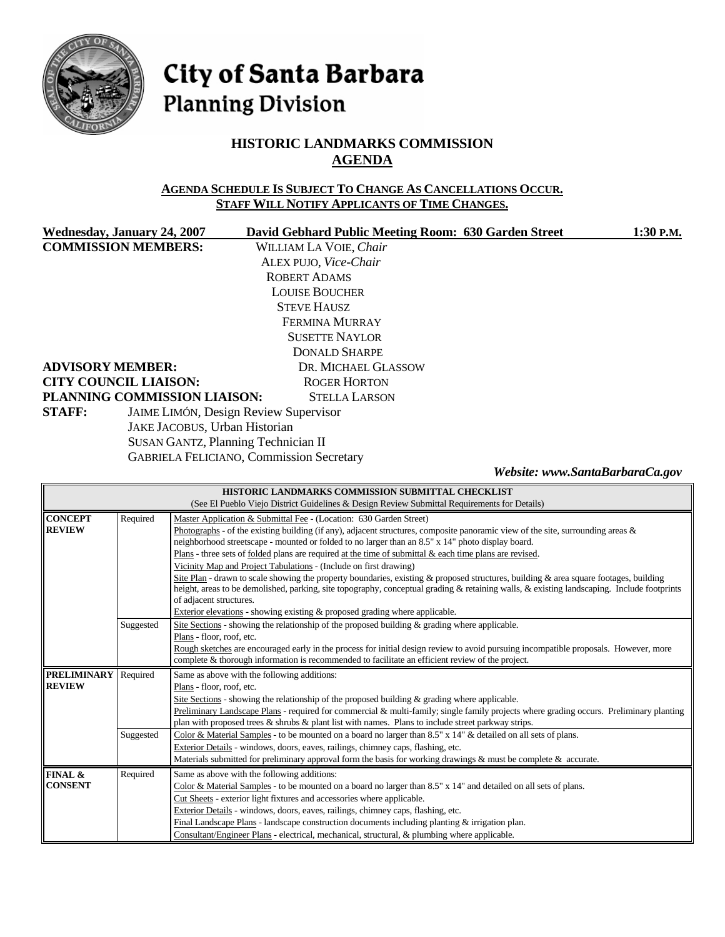

# City of Santa Barbara **Planning Division**

# **HISTORIC LANDMARKS COMMISSION AGENDA**

#### **AGENDA SCHEDULE IS SUBJECT TO CHANGE AS CANCELLATIONS OCCUR. STAFF WILL NOTIFY APPLICANTS OF TIME CHANGES.**

| Wednesday, January 24, 2007   | David Gebhard Public Meeting Room: 630 Garden Street | 1:30 P.M.                        |
|-------------------------------|------------------------------------------------------|----------------------------------|
| <b>COMMISSION MEMBERS:</b>    | WILLIAM LA VOIE, Chair                               |                                  |
|                               | ALEX PUJO, Vice-Chair                                |                                  |
|                               | <b>ROBERT ADAMS</b>                                  |                                  |
|                               | <b>LOUISE BOUCHER</b>                                |                                  |
|                               | <b>STEVE HAUSZ</b>                                   |                                  |
|                               | <b>FERMINA MURRAY</b>                                |                                  |
|                               | <b>SUSETTE NAYLOR</b>                                |                                  |
|                               | <b>DONALD SHARPE</b>                                 |                                  |
| <b>ADVISORY MEMBER:</b>       | DR. MICHAEL GLASSOW                                  |                                  |
| <b>CITY COUNCIL LIAISON:</b>  | <b>ROGER HORTON</b>                                  |                                  |
| PLANNING COMMISSION LIAISON:  | <b>STELLA LARSON</b>                                 |                                  |
| <b>STAFF:</b>                 | <b>JAIME LIMÓN, Design Review Supervisor</b>         |                                  |
| JAKE JACOBUS, Urban Historian |                                                      |                                  |
|                               | SUSAN GANTZ, Planning Technician II                  |                                  |
|                               | <b>GABRIELA FELICIANO, Commission Secretary</b>      |                                  |
|                               |                                                      | Woheito: www. SantaRarharaCa gov |

|  | Website: www.SantaBarbaraCa.gov |
|--|---------------------------------|
|--|---------------------------------|

| HISTORIC LANDMARKS COMMISSION SUBMITTAL CHECKLIST |                                                                                                                                                                                                                                         |                                                                                                                                                                                                                                                                                                                |  |  |  |
|---------------------------------------------------|-----------------------------------------------------------------------------------------------------------------------------------------------------------------------------------------------------------------------------------------|----------------------------------------------------------------------------------------------------------------------------------------------------------------------------------------------------------------------------------------------------------------------------------------------------------------|--|--|--|
|                                                   | (See El Pueblo Viejo District Guidelines & Design Review Submittal Requirements for Details)                                                                                                                                            |                                                                                                                                                                                                                                                                                                                |  |  |  |
| <b>CONCEPT</b>                                    | Required                                                                                                                                                                                                                                | Master Application & Submittal Fee - (Location: 630 Garden Street)                                                                                                                                                                                                                                             |  |  |  |
| <b>REVIEW</b>                                     | Photographs - of the existing building (if any), adjacent structures, composite panoramic view of the site, surrounding areas $\&$<br>neighborhood streetscape - mounted or folded to no larger than an 8.5" x 14" photo display board. |                                                                                                                                                                                                                                                                                                                |  |  |  |
|                                                   |                                                                                                                                                                                                                                         | Plans - three sets of <u>folded</u> plans are required at the time of submittal & each time plans are revised.                                                                                                                                                                                                 |  |  |  |
|                                                   | Vicinity Map and Project Tabulations - (Include on first drawing)                                                                                                                                                                       |                                                                                                                                                                                                                                                                                                                |  |  |  |
|                                                   |                                                                                                                                                                                                                                         | Site Plan - drawn to scale showing the property boundaries, existing & proposed structures, building & area square footages, building<br>height, areas to be demolished, parking, site topography, conceptual grading & retaining walls, & existing landscaping. Include footprints<br>of adjacent structures. |  |  |  |
|                                                   | Exterior elevations - showing existing $\&$ proposed grading where applicable.                                                                                                                                                          |                                                                                                                                                                                                                                                                                                                |  |  |  |
|                                                   | Site Sections - showing the relationship of the proposed building & grading where applicable.<br>Suggested                                                                                                                              |                                                                                                                                                                                                                                                                                                                |  |  |  |
|                                                   | Plans - floor, roof, etc.                                                                                                                                                                                                               |                                                                                                                                                                                                                                                                                                                |  |  |  |
|                                                   |                                                                                                                                                                                                                                         | Rough sketches are encouraged early in the process for initial design review to avoid pursuing incompatible proposals. However, more<br>complete & thorough information is recommended to facilitate an efficient review of the project.                                                                       |  |  |  |
| <b>PRELIMINARY</b>                                | Required                                                                                                                                                                                                                                | Same as above with the following additions:                                                                                                                                                                                                                                                                    |  |  |  |
| <b>REVIEW</b>                                     |                                                                                                                                                                                                                                         | Plans - floor, roof, etc.                                                                                                                                                                                                                                                                                      |  |  |  |
|                                                   |                                                                                                                                                                                                                                         | Site Sections - showing the relationship of the proposed building $\&$ grading where applicable.                                                                                                                                                                                                               |  |  |  |
|                                                   |                                                                                                                                                                                                                                         | Preliminary Landscape Plans - required for commercial & multi-family; single family projects where grading occurs. Preliminary planting                                                                                                                                                                        |  |  |  |
|                                                   |                                                                                                                                                                                                                                         | plan with proposed trees & shrubs & plant list with names. Plans to include street parkway strips.                                                                                                                                                                                                             |  |  |  |
|                                                   | Suggested                                                                                                                                                                                                                               | Color & Material Samples - to be mounted on a board no larger than 8.5" x 14" & detailed on all sets of plans.                                                                                                                                                                                                 |  |  |  |
|                                                   |                                                                                                                                                                                                                                         | Exterior Details - windows, doors, eaves, railings, chimney caps, flashing, etc.                                                                                                                                                                                                                               |  |  |  |
|                                                   |                                                                                                                                                                                                                                         | Materials submitted for preliminary approval form the basis for working drawings & must be complete & accurate.                                                                                                                                                                                                |  |  |  |
| FINAL &                                           | Required                                                                                                                                                                                                                                | Same as above with the following additions:                                                                                                                                                                                                                                                                    |  |  |  |
| <b>CONSENT</b>                                    |                                                                                                                                                                                                                                         | Color & Material Samples - to be mounted on a board no larger than 8.5" x 14" and detailed on all sets of plans.                                                                                                                                                                                               |  |  |  |
|                                                   | Cut Sheets - exterior light fixtures and accessories where applicable.                                                                                                                                                                  |                                                                                                                                                                                                                                                                                                                |  |  |  |
|                                                   |                                                                                                                                                                                                                                         | Exterior Details - windows, doors, eaves, railings, chimney caps, flashing, etc.                                                                                                                                                                                                                               |  |  |  |
|                                                   |                                                                                                                                                                                                                                         | Final Landscape Plans - landscape construction documents including planting $&$ irrigation plan.                                                                                                                                                                                                               |  |  |  |
|                                                   |                                                                                                                                                                                                                                         | Consultant/Engineer Plans - electrical, mechanical, structural, & plumbing where applicable.                                                                                                                                                                                                                   |  |  |  |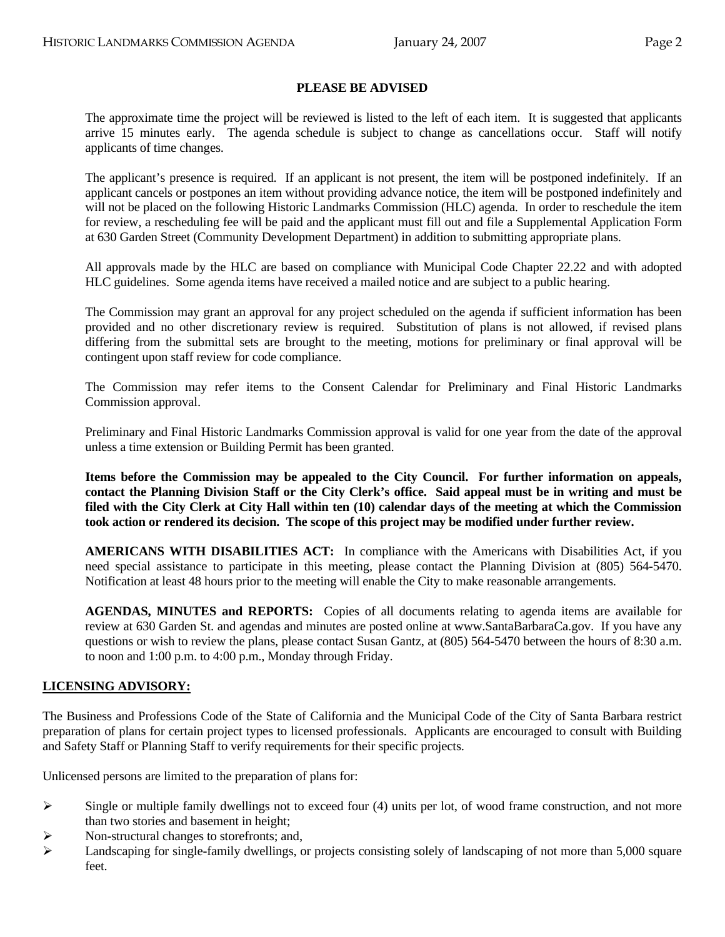#### **PLEASE BE ADVISED**

 The approximate time the project will be reviewed is listed to the left of each item. It is suggested that applicants arrive 15 minutes early. The agenda schedule is subject to change as cancellations occur. Staff will notify applicants of time changes.

 The applicant's presence is required. If an applicant is not present, the item will be postponed indefinitely. If an applicant cancels or postpones an item without providing advance notice, the item will be postponed indefinitely and will not be placed on the following Historic Landmarks Commission (HLC) agenda. In order to reschedule the item for review, a rescheduling fee will be paid and the applicant must fill out and file a Supplemental Application Form at 630 Garden Street (Community Development Department) in addition to submitting appropriate plans.

 All approvals made by the HLC are based on compliance with Municipal Code Chapter 22.22 and with adopted HLC guidelines. Some agenda items have received a mailed notice and are subject to a public hearing.

 The Commission may grant an approval for any project scheduled on the agenda if sufficient information has been provided and no other discretionary review is required. Substitution of plans is not allowed, if revised plans differing from the submittal sets are brought to the meeting, motions for preliminary or final approval will be contingent upon staff review for code compliance.

 The Commission may refer items to the Consent Calendar for Preliminary and Final Historic Landmarks Commission approval.

 Preliminary and Final Historic Landmarks Commission approval is valid for one year from the date of the approval unless a time extension or Building Permit has been granted.

**Items before the Commission may be appealed to the City Council. For further information on appeals, contact the Planning Division Staff or the City Clerk's office. Said appeal must be in writing and must be filed with the City Clerk at City Hall within ten (10) calendar days of the meeting at which the Commission took action or rendered its decision. The scope of this project may be modified under further review.** 

 **AMERICANS WITH DISABILITIES ACT:** In compliance with the Americans with Disabilities Act, if you need special assistance to participate in this meeting, please contact the Planning Division at (805) 564-5470. Notification at least 48 hours prior to the meeting will enable the City to make reasonable arrangements.

 **AGENDAS, MINUTES and REPORTS:** Copies of all documents relating to agenda items are available for review at 630 Garden St. and agendas and minutes are posted online at [www.SantaBarbaraCa.gov.](http://www.santabarbaraca.gov/) If you have any questions or wish to review the plans, please contact Susan Gantz, at (805) 564-5470 between the hours of 8:30 a.m. to noon and 1:00 p.m. to 4:00 p.m., Monday through Friday.

#### **LICENSING ADVISORY:**

The Business and Professions Code of the State of California and the Municipal Code of the City of Santa Barbara restrict preparation of plans for certain project types to licensed professionals. Applicants are encouraged to consult with Building and Safety Staff or Planning Staff to verify requirements for their specific projects.

Unlicensed persons are limited to the preparation of plans for:

- $\triangleright$  Single or multiple family dwellings not to exceed four (4) units per lot, of wood frame construction, and not more than two stories and basement in height;
- $\triangleright$  Non-structural changes to storefronts; and,
- $\blacktriangleright$  Landscaping for single-family dwellings, or projects consisting solely of landscaping of not more than 5,000 square feet.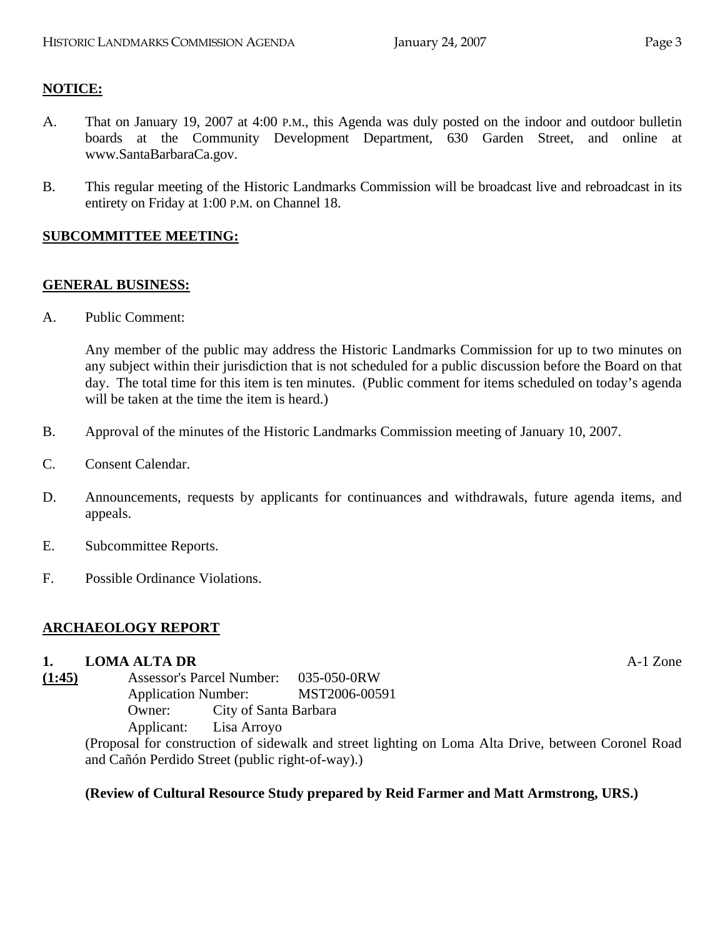# **NOTICE:**

- A. That on January 19, 2007 at 4:00 P.M., this Agenda was duly posted on the indoor and outdoor bulletin boards at the Community Development Department, 630 Garden Street, and online at www.SantaBarbaraCa.gov.
- B. This regular meeting of the Historic Landmarks Commission will be broadcast live and rebroadcast in its entirety on Friday at 1:00 P.M. on Channel 18.

#### **SUBCOMMITTEE MEETING:**

## **GENERAL BUSINESS:**

A. Public Comment:

Any member of the public may address the Historic Landmarks Commission for up to two minutes on any subject within their jurisdiction that is not scheduled for a public discussion before the Board on that day. The total time for this item is ten minutes. (Public comment for items scheduled on today's agenda will be taken at the time the item is heard.)

- B. Approval of the minutes of the Historic Landmarks Commission meeting of January 10, 2007.
- C. Consent Calendar.
- D. Announcements, requests by applicants for continuances and withdrawals, future agenda items, and appeals.
- E. Subcommittee Reports.
- F. Possible Ordinance Violations.

# **ARCHAEOLOGY REPORT**

#### **1. LOMA ALTA DR** A-1 Zone

**(1:45)** Assessor's Parcel Number: 035-050-0RW Application Number: MST2006-00591 Owner: City of Santa Barbara Applicant: Lisa Arroyo

(Proposal for construction of sidewalk and street lighting on Loma Alta Drive, between Coronel Road and Cañón Perdido Street (public right-of-way).)

# **(Review of Cultural Resource Study prepared by Reid Farmer and Matt Armstrong, URS.)**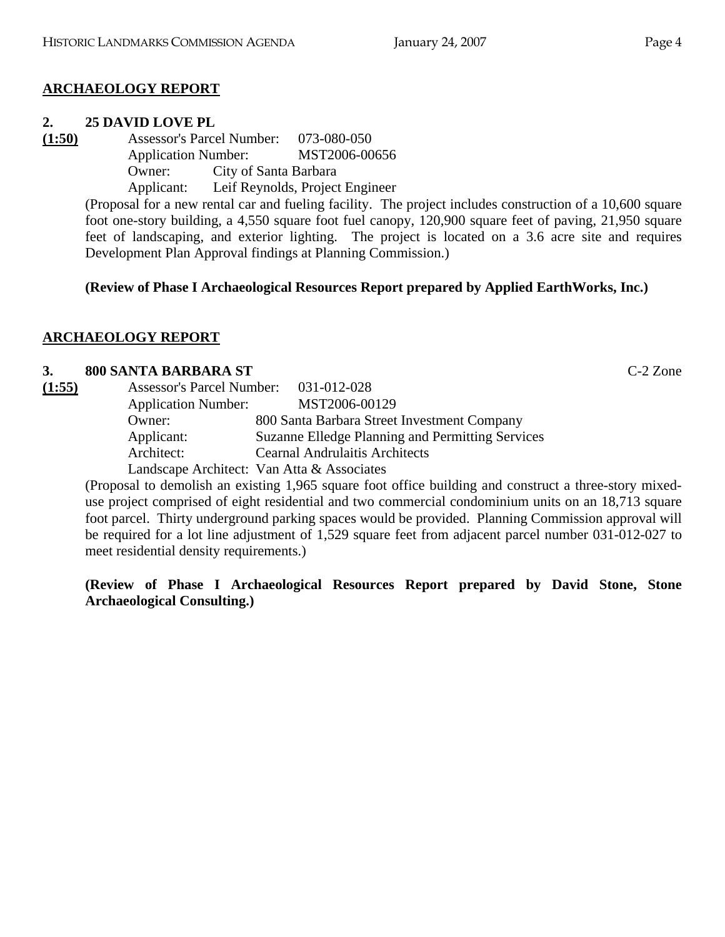# **ARCHAEOLOGY REPORT**

## **2. 25 DAVID LOVE PL**

**(1:50)** Assessor's Parcel Number: 073-080-050 Application Number: MST2006-00656 Owner: City of Santa Barbara

Applicant: Leif Reynolds, Project Engineer

(Proposal for a new rental car and fueling facility. The project includes construction of a 10,600 square foot one-story building, a 4,550 square foot fuel canopy, 120,900 square feet of paving, 21,950 square feet of landscaping, and exterior lighting. The project is located on a 3.6 acre site and requires Development Plan Approval findings at Planning Commission.)

**(Review of Phase I Archaeological Resources Report prepared by Applied EarthWorks, Inc.)** 

# **ARCHAEOLOGY REPORT**

## **3. 800 SANTA BARBARA ST** C-2 Zone

| (1:55) | Assessor's Parcel Number: 031-012-028 |                                                  |
|--------|---------------------------------------|--------------------------------------------------|
|        | <b>Application Number:</b>            | MST2006-00129                                    |
|        | Owner:                                | 800 Santa Barbara Street Investment Company      |
|        | Applicant:                            | Suzanne Elledge Planning and Permitting Services |
|        | Architect:                            | <b>Cearnal Andrulaitis Architects</b>            |
|        |                                       | Landscape Architect: Van Atta & Associates       |

(Proposal to demolish an existing 1,965 square foot office building and construct a three-story mixeduse project comprised of eight residential and two commercial condominium units on an 18,713 square foot parcel. Thirty underground parking spaces would be provided. Planning Commission approval will be required for a lot line adjustment of 1,529 square feet from adjacent parcel number 031-012-027 to meet residential density requirements.)

**(Review of Phase I Archaeological Resources Report prepared by David Stone, Stone Archaeological Consulting.)**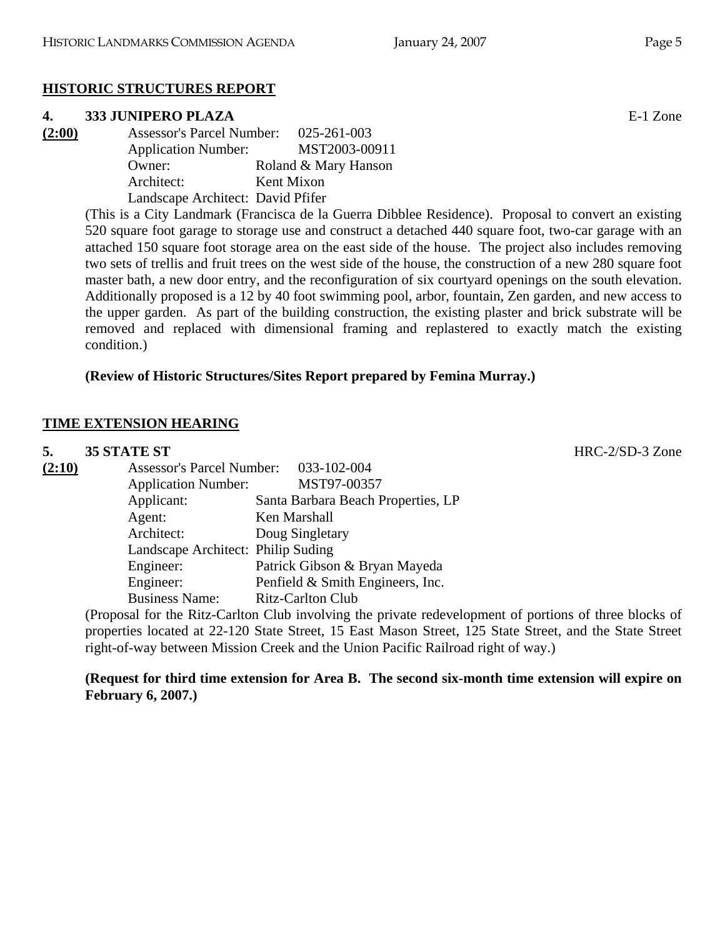# **HISTORIC STRUCTURES REPORT**

# **4. 333 JUNIPERO PLAZA** E-1 Zone

| (2:00) | <b>Assessor's Parcel Number:</b>  | 025-261-003          |
|--------|-----------------------------------|----------------------|
|        | <b>Application Number:</b>        |                      |
|        | Owner:                            | Roland & Mary Hanson |
|        | Architect:                        | Kent Mixon           |
|        | Landscape Architect: David Pfifer |                      |

(This is a City Landmark (Francisca de la Guerra Dibblee Residence). Proposal to convert an existing 520 square foot garage to storage use and construct a detached 440 square foot, two-car garage with an attached 150 square foot storage area on the east side of the house. The project also includes removing two sets of trellis and fruit trees on the west side of the house, the construction of a new 280 square foot master bath, a new door entry, and the reconfiguration of six courtyard openings on the south elevation. Additionally proposed is a 12 by 40 foot swimming pool, arbor, fountain, Zen garden, and new access to the upper garden. As part of the building construction, the existing plaster and brick substrate will be removed and replaced with dimensional framing and replastered to exactly match the existing condition.)

# **(Review of Historic Structures/Sites Report prepared by Femina Murray.)**

# **TIME EXTENSION HEARING**

# **5. 35 STATE ST** HRC-2/SD-3 Zone<br>
(2:10) Assessor's Percel Number (22:102.004) **(2:10)** Assessor's Parcel Number: 033-102-004

| Assessor's Parcel Number:          | 033-102-004                        |
|------------------------------------|------------------------------------|
| <b>Application Number:</b>         | MST97-00357                        |
| Applicant:                         | Santa Barbara Beach Properties, LP |
| Agent:                             | Ken Marshall                       |
| Architect:                         | Doug Singletary                    |
| Landscape Architect: Philip Suding |                                    |
| Engineer:                          | Patrick Gibson & Bryan Mayeda      |
| Engineer:                          | Penfield & Smith Engineers, Inc.   |
| <b>Business Name:</b>              | <b>Ritz-Carlton Club</b>           |

(Proposal for the Ritz-Carlton Club involving the private redevelopment of portions of three blocks of properties located at 22-120 State Street, 15 East Mason Street, 125 State Street, and the State Street right-of-way between Mission Creek and the Union Pacific Railroad right of way.)

## **(Request for third time extension for Area B. The second six-month time extension will expire on February 6, 2007.)**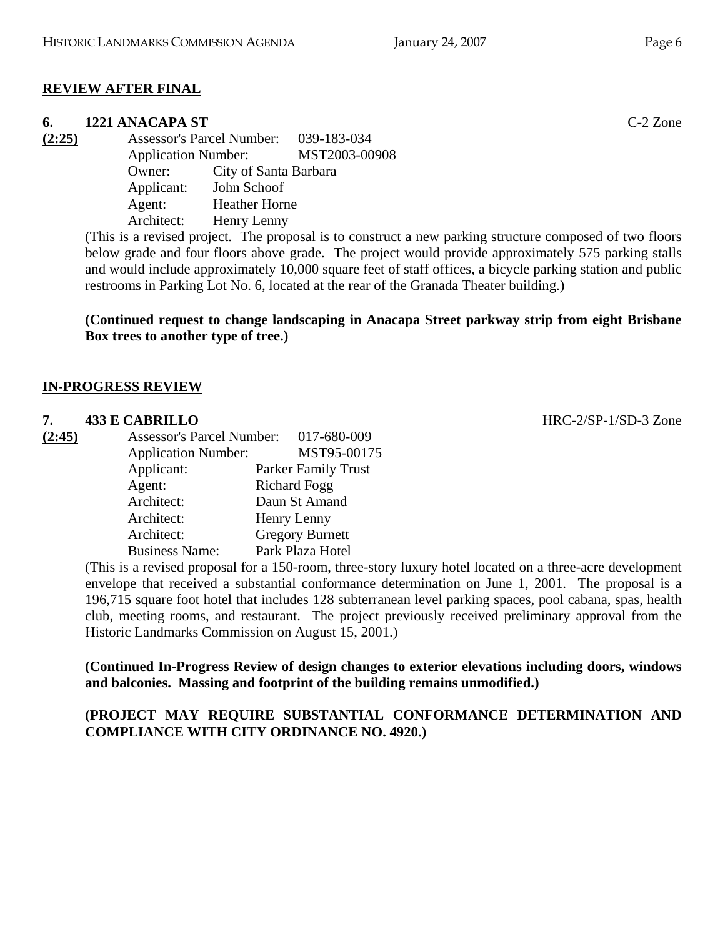# **REVIEW AFTER FINAL**

# **6. 1221 ANACAPA ST** C-2 Zone

**(2:25)** Assessor's Parcel Number: 039-183-034 Application Number: MST2003-00908 Owner: City of Santa Barbara Applicant: John Schoof Agent: Heather Horne Architect: Henry Lenny

(This is a revised project. The proposal is to construct a new parking structure composed of two floors below grade and four floors above grade. The project would provide approximately 575 parking stalls and would include approximately 10,000 square feet of staff offices, a bicycle parking station and public restrooms in Parking Lot No. 6, located at the rear of the Granada Theater building.)

## **(Continued request to change landscaping in Anacapa Street parkway strip from eight Brisbane Box trees to another type of tree.)**

## **IN-PROGRESS REVIEW**

#### **7. 433 E CABRILLO** HRC-2/SP-1/SD-3 Zone

| (2:45) | <b>Assessor's Parcel Number:</b> | 017-680-009                |
|--------|----------------------------------|----------------------------|
|        | <b>Application Number:</b>       | MST95-00175                |
|        | Applicant:                       | <b>Parker Family Trust</b> |
|        | Agent:                           | <b>Richard Fogg</b>        |
|        | Architect:                       | Daun St Amand              |
|        | Architect:                       | Henry Lenny                |
|        | Architect:                       | <b>Gregory Burnett</b>     |
|        | <b>Business Name:</b>            | Park Plaza Hotel           |

(This is a revised proposal for a 150-room, three-story luxury hotel located on a three-acre development envelope that received a substantial conformance determination on June 1, 2001. The proposal is a 196,715 square foot hotel that includes 128 subterranean level parking spaces, pool cabana, spas, health club, meeting rooms, and restaurant. The project previously received preliminary approval from the Historic Landmarks Commission on August 15, 2001.)

**(Continued In-Progress Review of design changes to exterior elevations including doors, windows and balconies. Massing and footprint of the building remains unmodified.)** 

## **(PROJECT MAY REQUIRE SUBSTANTIAL CONFORMANCE DETERMINATION AND COMPLIANCE WITH CITY ORDINANCE NO. 4920.)**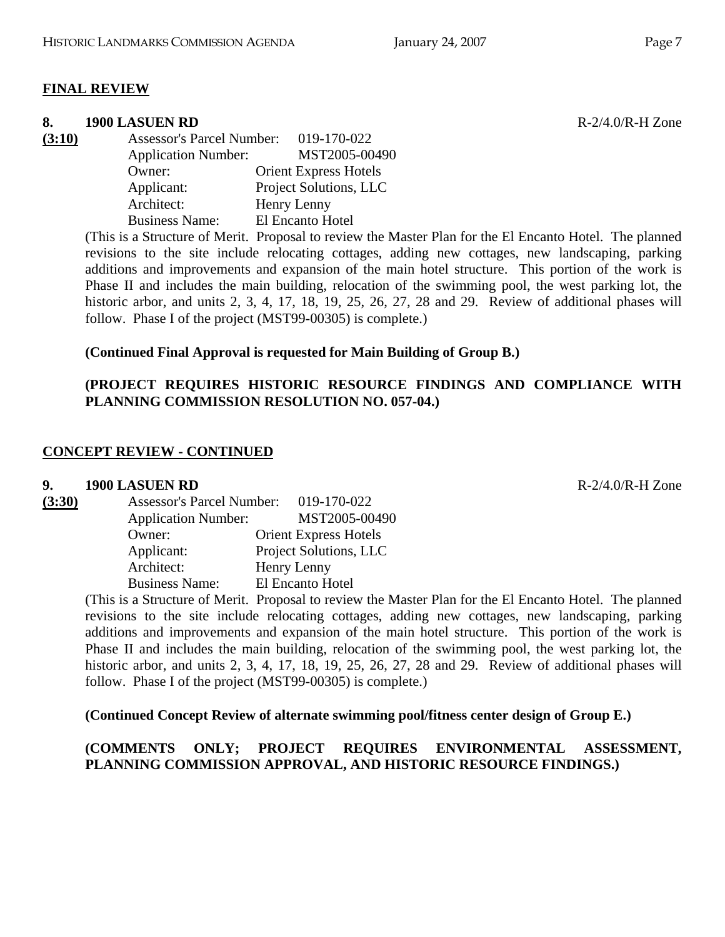#### **FINAL REVIEW**

#### **8. 1900 LASUEN RD** R-2/4.0/R-H Zone

**(3:10)** Assessor's Parcel Number: 019-170-022 Application Number: MST2005-00490 Owner: Orient Express Hotels Applicant: Project Solutions, LLC Architect: Henry Lenny Business Name: El Encanto Hotel

> (This is a Structure of Merit. Proposal to review the Master Plan for the El Encanto Hotel. The planned revisions to the site include relocating cottages, adding new cottages, new landscaping, parking additions and improvements and expansion of the main hotel structure. This portion of the work is Phase II and includes the main building, relocation of the swimming pool, the west parking lot, the historic arbor, and units 2, 3, 4, 17, 18, 19, 25, 26, 27, 28 and 29. Review of additional phases will follow. Phase I of the project (MST99-00305) is complete.)

#### **(Continued Final Approval is requested for Main Building of Group B.)**

## **(PROJECT REQUIRES HISTORIC RESOURCE FINDINGS AND COMPLIANCE WITH PLANNING COMMISSION RESOLUTION NO. 057-04.)**

#### **CONCEPT REVIEW - CONTINUED**

#### **9. 1900 LASUEN RD** R-2/4.0/R-H Zone

| (3:30) | <b>Assessor's Parcel Number:</b> | 019-170-022                  |
|--------|----------------------------------|------------------------------|
|        | <b>Application Number:</b>       | MST2005-00490                |
|        | Owner:                           | <b>Orient Express Hotels</b> |
|        | Applicant:                       | Project Solutions, LLC       |
|        | Architect:                       | Henry Lenny                  |
|        | <b>Business Name:</b>            | El Encanto Hotel             |

(This is a Structure of Merit. Proposal to review the Master Plan for the El Encanto Hotel. The planned revisions to the site include relocating cottages, adding new cottages, new landscaping, parking additions and improvements and expansion of the main hotel structure. This portion of the work is Phase II and includes the main building, relocation of the swimming pool, the west parking lot, the historic arbor, and units 2, 3, 4, 17, 18, 19, 25, 26, 27, 28 and 29. Review of additional phases will follow. Phase I of the project (MST99-00305) is complete.)

**(Continued Concept Review of alternate swimming pool/fitness center design of Group E.)** 

**(COMMENTS ONLY; PROJECT REQUIRES ENVIRONMENTAL ASSESSMENT, PLANNING COMMISSION APPROVAL, AND HISTORIC RESOURCE FINDINGS.)**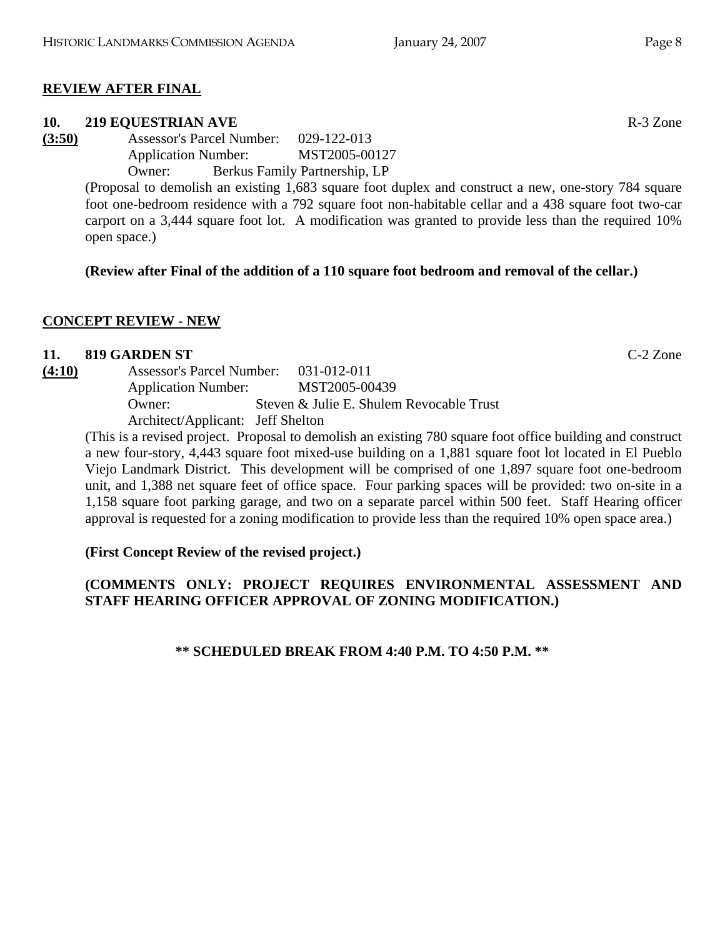# **REVIEW AFTER FINAL**

# **10. 219 EQUESTRIAN AVE R-3 Zone**

**(3:50)** Assessor's Parcel Number: 029-122-013 Application Number: MST2005-00127 Owner: Berkus Family Partnership, LP

(Proposal to demolish an existing 1,683 square foot duplex and construct a new, one-story 784 square foot one-bedroom residence with a 792 square foot non-habitable cellar and a 438 square foot two-car carport on a 3,444 square foot lot. A modification was granted to provide less than the required 10% open space.)

# **(Review after Final of the addition of a 110 square foot bedroom and removal of the cellar.)**

# **CONCEPT REVIEW - NEW**

# **11. 819 GARDEN ST** C-2 Zone

**(4:10)** Assessor's Parcel Number: 031-012-011 Application Number: MST2005-00439 Owner: Steven & Julie E. Shulem Revocable Trust Architect/Applicant: Jeff Shelton

(This is a revised project. Proposal to demolish an existing 780 square foot office building and construct a new four-story, 4,443 square foot mixed-use building on a 1,881 square foot lot located in El Pueblo Viejo Landmark District. This development will be comprised of one 1,897 square foot one-bedroom unit, and 1,388 net square feet of office space. Four parking spaces will be provided: two on-site in a 1,158 square foot parking garage, and two on a separate parcel within 500 feet. Staff Hearing officer approval is requested for a zoning modification to provide less than the required 10% open space area.)

# **(First Concept Review of the revised project.)**

# **(COMMENTS ONLY: PROJECT REQUIRES ENVIRONMENTAL ASSESSMENT AND STAFF HEARING OFFICER APPROVAL OF ZONING MODIFICATION.)**

**\*\* SCHEDULED BREAK FROM 4:40 P.M. TO 4:50 P.M. \*\***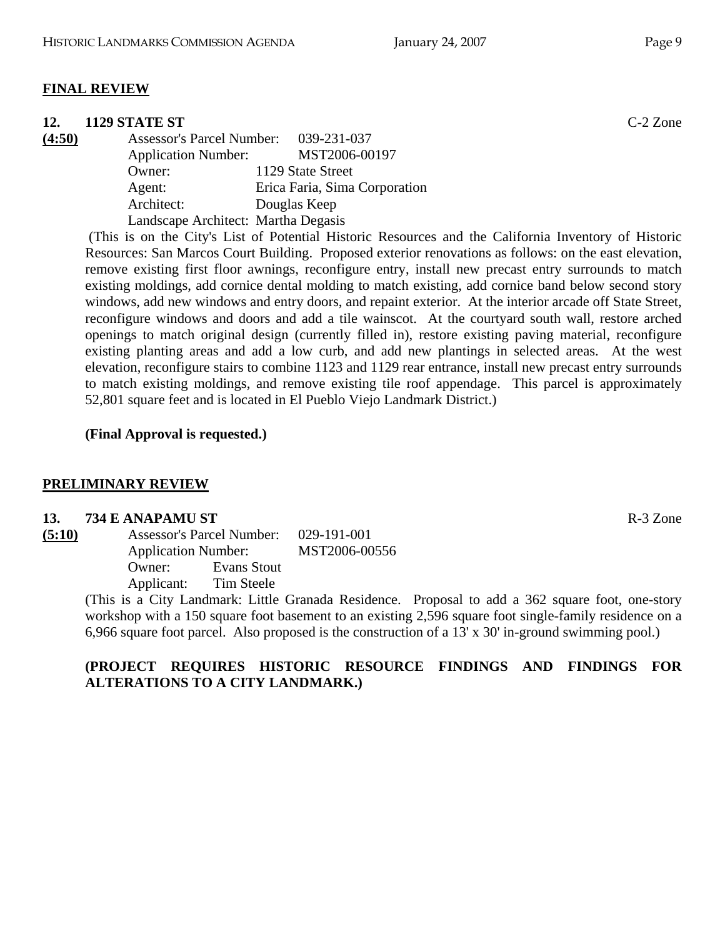## **FINAL REVIEW**

#### **12. 1129 STATE ST** C-2 Zone

**(4:50)** Assessor's Parcel Number: 039-231-037 Application Number: MST2006-00197 Owner: 1129 State Street Agent: Erica Faria, Sima Corporation Architect: Douglas Keep Landscape Architect: Martha Degasis

 (This is on the City's List of Potential Historic Resources and the California Inventory of Historic Resources: San Marcos Court Building. Proposed exterior renovations as follows: on the east elevation, remove existing first floor awnings, reconfigure entry, install new precast entry surrounds to match existing moldings, add cornice dental molding to match existing, add cornice band below second story windows, add new windows and entry doors, and repaint exterior. At the interior arcade off State Street, reconfigure windows and doors and add a tile wainscot. At the courtyard south wall, restore arched openings to match original design (currently filled in), restore existing paving material, reconfigure existing planting areas and add a low curb, and add new plantings in selected areas. At the west elevation, reconfigure stairs to combine 1123 and 1129 rear entrance, install new precast entry surrounds to match existing moldings, and remove existing tile roof appendage. This parcel is approximately 52,801 square feet and is located in El Pueblo Viejo Landmark District.)

#### **(Final Approval is requested.)**

#### **PRELIMINARY REVIEW**

#### **13. 734 E ANAPAMU ST** R-3 Zone

| (5:10) |            | <b>Assessor's Parcel Number:</b><br><b>Application Number:</b> |  |
|--------|------------|----------------------------------------------------------------|--|
|        |            |                                                                |  |
|        | Owner:     | Evans Stout                                                    |  |
|        | Applicant: | Tim Steele                                                     |  |

(This is a City Landmark: Little Granada Residence. Proposal to add a 362 square foot, one-story workshop with a 150 square foot basement to an existing 2,596 square foot single-family residence on a 6,966 square foot parcel. Also proposed is the construction of a 13' x 30' in-ground swimming pool.)

## **(PROJECT REQUIRES HISTORIC RESOURCE FINDINGS AND FINDINGS FOR ALTERATIONS TO A CITY LANDMARK.)**